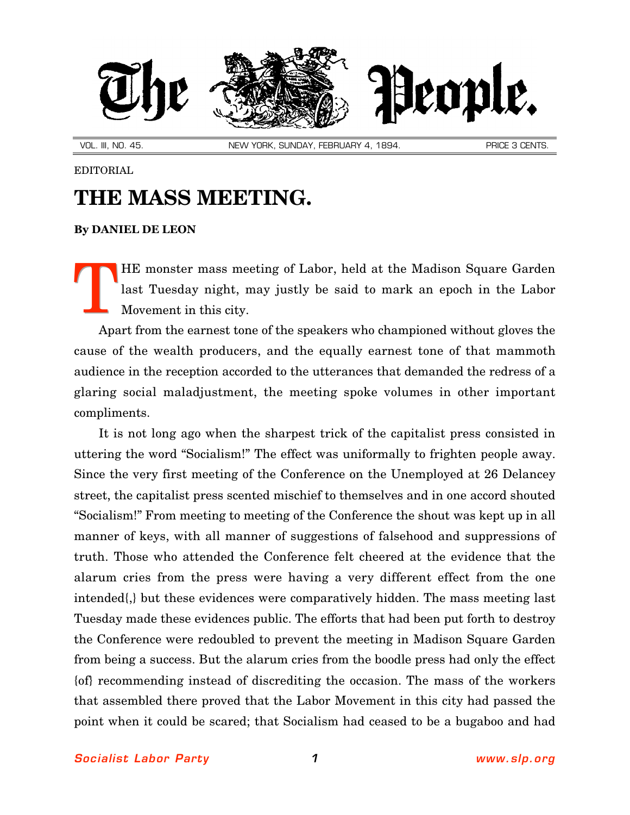

VOL. III, NO. 45. NORTH AND MEW YORK, SUNDAY, FEBRUARY 4, 1894. NEW PRICE 3 CENTS.

## EDITORIAL

## **THE MASS MEETING.**

## **By [DANIEL DE LEON](http://slp.org/De_Leon.htm)**

HE monster mass meeting of Labor, held at the Madison Square Garden last Tuesday night, may justly be said to mark an epoch in the Labor Movement in this city. T

Apart from the earnest tone of the speakers who championed without gloves the cause of the wealth producers, and the equally earnest tone of that mammoth audience in the reception accorded to the utterances that demanded the redress of a glaring social maladjustment, the meeting spoke volumes in other important compliments.

It is not long ago when the sharpest trick of the capitalist press consisted in uttering the word "Socialism!" The effect was uniformally to frighten people away. Since the very first meeting of the Conference on the Unemployed at 26 Delancey street, the capitalist press scented mischief to themselves and in one accord shouted "Socialism!" From meeting to meeting of the Conference the shout was kept up in all manner of keys, with all manner of suggestions of falsehood and suppressions of truth. Those who attended the Conference felt cheered at the evidence that the alarum cries from the press were having a very different effect from the one intended{,} but these evidences were comparatively hidden. The mass meeting last Tuesday made these evidences public. The efforts that had been put forth to destroy the Conference were redoubled to prevent the meeting in Madison Square Garden from being a success. But the alarum cries from the boodle press had only the effect {of} recommending instead of discrediting the occasion. The mass of the workers that assembled there proved that the Labor Movement in this city had passed the point when it could be scared; that Socialism had ceased to be a bugaboo and had